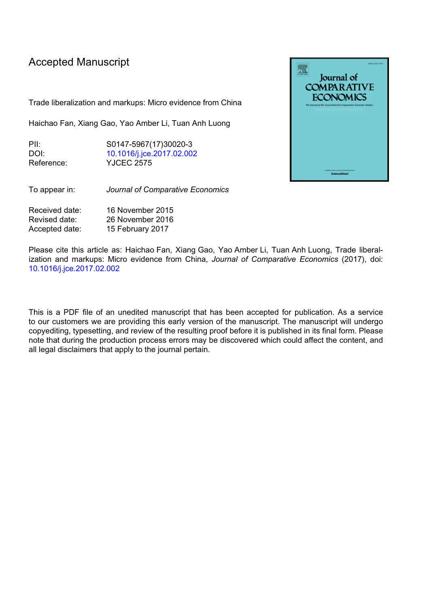## Accepted Manuscript

Trade liberalization and markups: Micro evidence from China

Haichao Fan, Xiang Gao, Yao Amber Li, Tuan Anh Luong

| P⊪         | S0147-5967(17)30020-3     |
|------------|---------------------------|
| DOI:       | 10.1016/j.jce.2017.02.002 |
| Reference: | <b>YJCEC 2575</b>         |

To appear in: *Journal of Comparative Economics*

| Received date: | 16 November 2015 |
|----------------|------------------|
| Revised date:  | 26 November 2016 |
| Accepted date: | 15 February 2017 |

Please cite this article as: Haichao Fan, Xiang Gao, Yao Amber Li, Tuan Anh Luong, Trade liberalization and markups: Micro evidence from China, *Journal of Comparative Economics* (2017), doi: [10.1016/j.jce.2017.02.002](http://dx.doi.org/10.1016/j.jce.2017.02.002)

This is a PDF file of an unedited manuscript that has been accepted for publication. As a service to our customers we are providing this early version of the manuscript. The manuscript will undergo copyediting, typesetting, and review of the resulting proof before it is published in its final form. Please note that during the production process errors may be discovered which could affect the content, and all legal disclaimers that apply to the journal pertain.

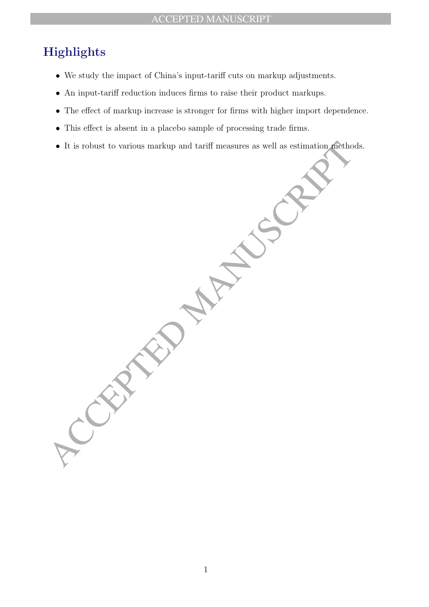## Highlights

- We study the impact of China's input-tariff cuts on markup adjustments.
- An input-tariff reduction induces firms to raise their product markups.
- The effect of markup increase is stronger for firms with higher import dependence.
- This effect is absent in a placebo sample of processing trade firms.
- It is robust to various markup and tariff measures as well as estimation methods.

. It is robust to various markup and tariff measures as well as estimation prethoso